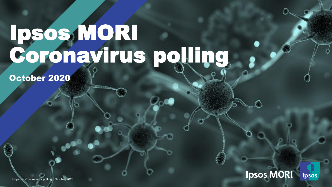## Ipsos, MORI Coronavirus polling

October 2020



© Ipsos | Coronavirus polling | October 2020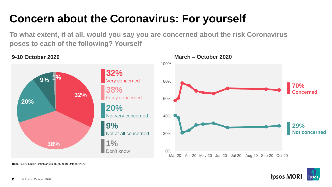## **Concern about the Coronavirus: For yourself**

**To what extent, if at all, would you say you are concerned about the risk Coronavirus poses to each of the following? Yourself**

**9-10 October 2020 March – October 2020**



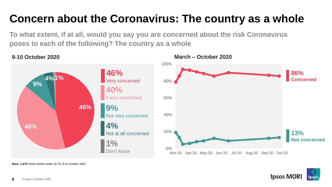#### **Concern about the Coronavirus: The country as a whole**

**To what extent, if at all, would you say you are concerned about the risk Coronavirus poses to each of the following? The country as a whole**



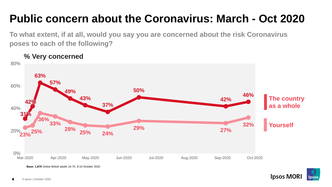## **Public concern about the Coronavirus: March - Oct 2020**

**To what extent, if at all, would you say you are concerned about the risk Coronavirus poses to each of the following?** 

**% Very concerned**



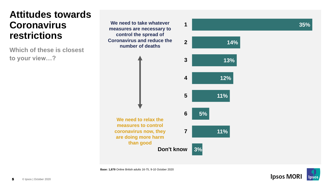#### **Attitudes towards Coronavirus restrictions**

**Which of these is closest to your view…?**

**4 3 2 We need to take whatever 1 measures are necessary to control the spread of Coronavirus and reduce the number of deaths**





**35%**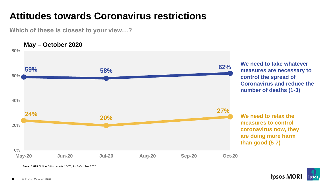#### **Attitudes towards Coronavirus restrictions**

**Which of these is closest to your view…?**



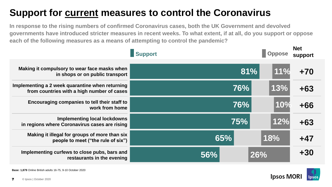#### **Support for current measures to control the Coronavirus**

**In response to the rising numbers of confirmed Coronavirus cases, both the UK Government and devolved governments have introduced stricter measures in recent weeks. To what extent, if at all, do you support or oppose each of the following measures as a means of attempting to control the pandemic?**

|                                                                                               | <b>Support</b> |     |     | <b>Net</b><br>support |
|-----------------------------------------------------------------------------------------------|----------------|-----|-----|-----------------------|
| Making it compulsory to wear face masks when<br>in shops or on public transport               |                | 81% | 11% | $+70$                 |
| Implementing a 2 week quarantine when returning<br>from countries with a high number of cases |                | 76% | 13% | $+63$                 |
| Encouraging companies to tell their staff to<br>work from home                                |                | 76% | 10% | $+66$                 |
| <b>Implementing local lockdowns</b><br>in regions where Coronavirus cases are rising          |                | 75% | 12% | $+63$                 |
| Making it illegal for groups of more than six<br>people to meet ("the rule of six")           |                | 65% | 18% | +47                   |
| Implementing curfews to close pubs, bars and<br>restaurants in the evening                    | 56%            | 26% |     | $+30$                 |

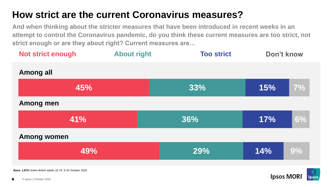#### **How strict are the current Coronavirus measures?**

**And when thinking about the stricter measures that have been introduced in recent weeks in an attempt to control the Coronavirus pandemic, do you think these current measures are too strict, not strict enough or are they about right? Current measures are…**

| <b>Not strict enough</b>                                          | <b>About right</b> | <b>Too strict</b> | Don't know |    |  |  |
|-------------------------------------------------------------------|--------------------|-------------------|------------|----|--|--|
| <b>Among all</b>                                                  |                    |                   |            |    |  |  |
| 45%                                                               |                    | 33%               | 15%        | 7% |  |  |
| <b>Among men</b>                                                  |                    |                   |            |    |  |  |
| 41%                                                               |                    | 36%               | 17%        | 6% |  |  |
| <b>Among women</b>                                                |                    |                   |            |    |  |  |
| 49%                                                               |                    | 29%               | 14%        | 9% |  |  |
| <b>Base: 1,879 Online British adults 16-75, 9-10 October 2020</b> |                    |                   |            |    |  |  |

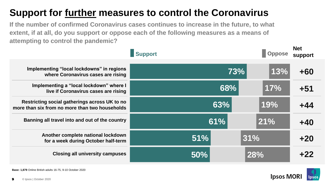#### **Support for further measures to control the Coronavirus**

**If the number of confirmed Coronavirus cases continues to increase in the future, to what extent, if at all, do you support or oppose each of the following measures as a means of attempting to control the pandemic?**

|                                                                                                 | <b>Support</b> |     | <b>Oppose</b> | <b>Net</b><br>support |
|-------------------------------------------------------------------------------------------------|----------------|-----|---------------|-----------------------|
| Implementing "local lockdowns" in regions<br>where Coronavirus cases are rising                 |                | 73% | 13%           | $+60$                 |
| Implementing a "local lockdown" where I<br>live if Coronavirus cases are rising                 |                | 68% | 17%           | $+51$                 |
| Restricting social gatherings across UK to no<br>more than six from no more than two households |                | 63% | 19%           | $+44$                 |
| Banning all travel into and out of the country                                                  |                | 61% | 21%           | $+40$                 |
| Another complete national lockdown<br>for a week during October half-term                       | 51%            | 31% |               | $+20$                 |
| <b>Closing all university campuses</b>                                                          | 50%            |     | 28%           | $+22$                 |

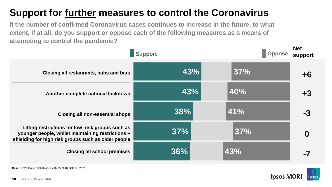#### **Support for further measures to control the Coronavirus**

**If the number of confirmed Coronavirus cases continues to increase in the future, to what extent, if at all, do you support or oppose each of the following measures as a means of attempting to control the pandemic?**

| <b>Support</b>                                                                                                                                               |     |     | <b>Net</b><br>support |
|--------------------------------------------------------------------------------------------------------------------------------------------------------------|-----|-----|-----------------------|
| Closing all restaurants, pubs and bars                                                                                                                       | 43% | 37% | +6                    |
| Another complete national lockdown                                                                                                                           | 43% | 40% | $+3$                  |
| <b>Closing all non-essential shops</b>                                                                                                                       | 38% | 41% | -3                    |
| Lifting restrictions for low risk groups such as<br>younger people, whilst maintaining restrictions +<br>shielding for high risk groups such as older people | 37% | 37% | O                     |
| <b>Closing all school premises</b>                                                                                                                           | 36% | 43% |                       |

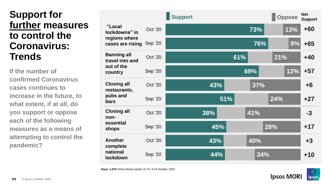#### **Support for further measures to control the Coronavirus: Trends**

**If the number of confirmed Coronavirus cases continues to increase in the future, to what extent, if at all, do you support or oppose each of the following measures as a means of attempting to control the pandemic?**

|                                                               |                | <b>Support</b> |     |     |     |                   | <b>Oppose</b> | <b>Net</b><br><b>Support</b> |
|---------------------------------------------------------------|----------------|----------------|-----|-----|-----|-------------------|---------------|------------------------------|
| "Local<br>lockdowns" in                                       | <b>Oct '20</b> |                |     |     | 73% |                   | 13%           | $+60$                        |
| regions where<br>cases are rising                             | Sep '20        |                |     |     | 76% |                   | 9%            | $+65$                        |
| <b>Banning all</b><br>travel into and                         | <b>Oct '20</b> |                |     | 61% |     | $\overline{21\%}$ |               | $+40$                        |
| out of the<br>country                                         | <b>Sep '20</b> |                |     |     | 69% |                   | 12%           | $+57$                        |
| <b>Closing all</b><br>restaurants,<br>pubs and<br><b>bars</b> | <b>Oct '20</b> |                | 43% |     | 37% |                   |               | $+6$                         |
|                                                               | <b>Sep '20</b> |                |     | 51% |     | 24%               |               | $+27$                        |
| <b>Closing all</b><br>non-                                    | <b>Oct '20</b> |                | 38% |     | 41% |                   |               | $-3$                         |
| essential<br>shops                                            | <b>Sep '20</b> |                | 45% |     |     | 28%               |               | $+17$                        |
| <b>Another</b><br>complete                                    | <b>Oct '20</b> |                | 43% |     | 40% |                   |               | $+3$                         |
| national<br>lockdown                                          | <b>Sep '20</b> |                | 44% |     | 34% |                   |               | $+10$                        |

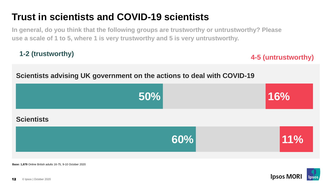#### **Trust in scientists and COVID-19 scientists**

**In general, do you think that the following groups are trustworthy or untrustworthy? Please use a scale of 1 to 5, where 1 is very trustworthy and 5 is very untrustworthy.**

**1-2 (trustworthy) 4-5 (untrustworthy)**

#### **Scientists advising UK government on the actions to deal with COVID-19**



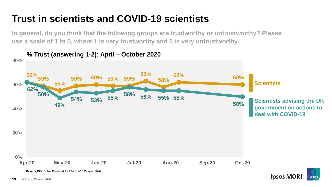#### **Trust in scientists and COVID-19 scientists**

**In general, do you think that the following groups are trustworthy or untrustworthy? Please use a scale of 1 to 5, where 1 is very trustworthy and 5 is very untrustworthy.** 



**% Trust (answering 1-2): April – October 2020**

#### © Ipsos | October 2020 13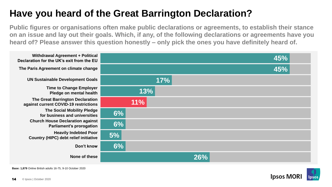#### **Have you heard of the Great Barrington Declaration?**

**Public figures or organisations often make public declarations or agreements, to establish their stance on an issue and lay out their goals. Which, if any, of the following declarations or agreements have you heard of? Please answer this question honestly – only pick the ones you have definitely heard of.** 



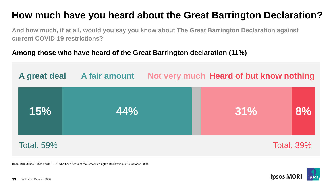#### **How much have you heard about the Great Barrington Declaration?**

**And how much, if at all, would you say you know about The Great Barrington Declaration against current COVID-19 restrictions?**

#### **Among those who have heard of the Great Barrington declaration (11%)**



**Base: 218** Online British adults 16-75 who have heard of the Great Barrington Declaration, 9-10 October 2020